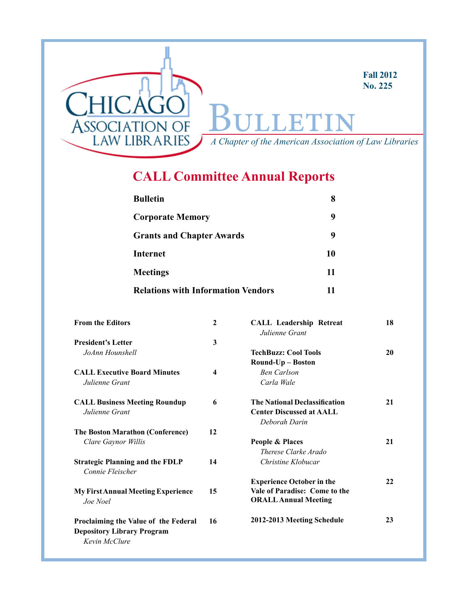

# **CALL Committee Annual Reports**

| <b>Bulletin</b>                           |    |
|-------------------------------------------|----|
| <b>Corporate Memory</b>                   | 9  |
| <b>Grants and Chapter Awards</b>          | g  |
| <b>Internet</b>                           | 10 |
| <b>Meetings</b>                           | 11 |
| <b>Relations with Information Vendors</b> | 11 |

| <b>From the Editors</b>                                                                    | $\mathbf{2}$            | <b>CALL Leadership Retreat</b><br>Julienne Grant | 18 |
|--------------------------------------------------------------------------------------------|-------------------------|--------------------------------------------------|----|
| <b>President's Letter</b>                                                                  | 3                       |                                                  |    |
| JoAnn Hounshell                                                                            |                         | <b>TechBuzz: Cool Tools</b>                      | 20 |
|                                                                                            |                         | Round-Up - Boston                                |    |
| <b>CALL Executive Board Minutes</b>                                                        | $\overline{\mathbf{4}}$ | <b>Ben Carlson</b>                               |    |
| Julienne Grant                                                                             |                         | Carla Wale                                       |    |
| <b>CALL Business Meeting Roundup</b>                                                       | 6                       | <b>The National Declassification</b>             | 21 |
| Julienne Grant                                                                             |                         | <b>Center Discussed at AALL</b>                  |    |
|                                                                                            |                         | Deborah Darin                                    |    |
| <b>The Boston Marathon (Conference)</b>                                                    | 12                      |                                                  |    |
| Clare Gaynor Willis                                                                        |                         | People & Places                                  | 21 |
|                                                                                            |                         | Therese Clarke Arado                             |    |
| <b>Strategic Planning and the FDLP</b><br>Connie Fleischer                                 | 14                      | Christine Klobucar                               |    |
|                                                                                            |                         | <b>Experience October in the</b>                 | 22 |
| <b>My First Annual Meeting Experience</b>                                                  | 15                      | Vale of Paradise: Come to the                    |    |
| Joe Noel                                                                                   |                         | <b>ORALL Annual Meeting</b>                      |    |
| Proclaiming the Value of the Federal<br><b>Depository Library Program</b><br>Kevin McClure | 16                      | 2012-2013 Meeting Schedule                       | 23 |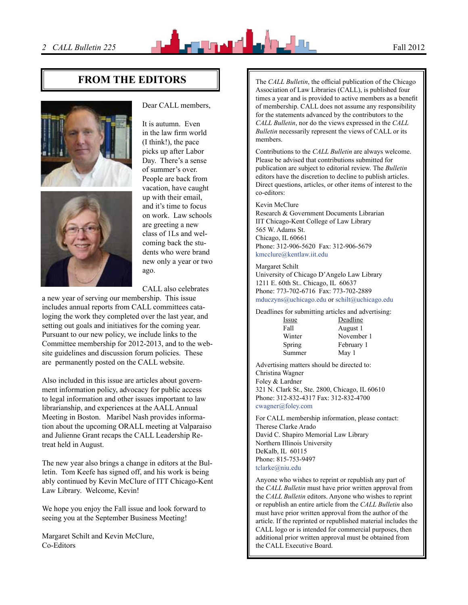

# **FROM THE EDITORS**  $\parallel$  The *CALL Bulletin*, the official publication of the Chicago





#### Dear CALL members,

It is autumn. Even in the law firm world (I think!), the pace picks up after Labor Day. There's a sense of summer's over. People are back from vacation, have caught up with their email, and it's time to focus on work. Law schools are greeting a new class of 1Ls and welcoming back the students who were brand new only a year or two ago.

CALL also celebrates

a new year of serving our membership. This issue includes annual reports from CALL committees cataloging the work they completed over the last year, and setting out goals and initiatives for the coming year. Pursuant to our new policy, we include links to the Committee membership for 2012-2013, and to the website guidelines and discussion forum policies. These are permanently posted on the CALL website.

Also included in this issue are articles about government information policy, advocacy for public access to legal information and other issues important to law librarianship, and experiences at the AALL Annual Meeting in Boston. Maribel Nash provides information about the upcoming ORALL meeting at Valparaiso and Julienne Grant recaps the CALL Leadership Retreat held in August.

The new year also brings a change in editors at the Bulletin. Tom Keefe has signed off, and his work is being ably continued by Kevin McClure of ITT Chicago-Kent Law Library. Welcome, Kevin!

We hope you enjoy the Fall issue and look forward to seeing you at the September Business Meeting!

Margaret Schilt and Kevin McClure, Co-Editors

Association of Law Libraries (CALL), is published four times a year and is provided to active members as a benefit of membership. CALL does not assume any responsibility for the statements advanced by the contributors to the *CALL Bulletin*, nor do the views expressed in the *CALL Bulletin* necessarily represent the views of CALL or its members.

Contributions to the *CALL Bulletin* are always welcome. Please be advised that contributions submitted for publication are subject to editorial review. The *Bulletin* editors have the discretion to decline to publish articles. Direct questions, articles, or other items of interest to the co-editors:

#### Kevin McClure

Research & Government Documents Librarian IIT Chicago-Kent College of Law Library 565 W. Adams St. Chicago, IL 60661 Phone: 312-906-5620 Fax: 312-906-5679 kmcclure@kentlaw.iit.edu

#### Margaret Schilt

University of Chicago D'Angelo Law Library 1211 E. 60th St.. Chicago, IL 60637 Phone: 773-702-6716 Fax: 773-702-2889 mduczyns@uchicago.edu or schilt@uchicago.edu

Deadlines for submitting articles and advertising:

| Deadline   |
|------------|
| August 1   |
| November 1 |
| February 1 |
| May 1      |
|            |

Advertising matters should be directed to: Christina Wagner Foley & Lardner 321 N. Clark St., Ste. 2800, Chicago, IL 60610 Phone: 312-832-4317 Fax: 312-832-4700 [cwagner@foley.com](mailto:cwagner@foley.com)

For CALL membership information, please contact: Therese Clarke Arado David C. Shapiro Memorial Law Library Northern Illinois University DeKalb, IL 60115 Phone: 815-753-9497 tclarke@niu.edu

Anyone who wishes to reprint or republish any part of the *CALL Bulletin* must have prior written approval from the *CALL Bulletin* editors. Anyone who wishes to reprint or republish an entire article from the *CALL Bulletin* also must have prior written approval from the author of the article. If the reprinted or republished material includes the CALL logo or is intended for commercial purposes, then additional prior written approval must be obtained from the CALL Executive Board.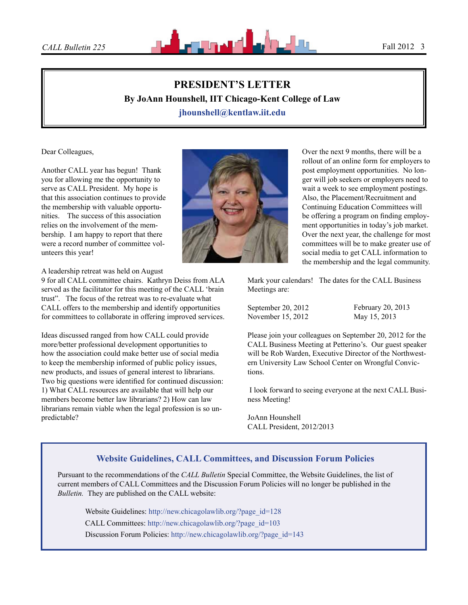

# **PRESIDENT'S LETTER By JoAnn Hounshell, IIT Chicago-Kent College of Law jhounshell@kentlaw.iit.edu**

Dear Colleagues,

Another CALL year has begun! Thank you for allowing me the opportunity to serve as CALL President. My hope is that this association continues to provide the membership with valuable opportunities. The success of this association relies on the involvement of the membership. I am happy to report that there were a record number of committee volunteers this year!

A leadership retreat was held on August

9 for all CALL committee chairs. Kathryn Deiss from ALA served as the facilitator for this meeting of the CALL 'brain trust". The focus of the retreat was to re-evaluate what CALL offers to the membership and identify opportunities for committees to collaborate in offering improved services.

Ideas discussed ranged from how CALL could provide more/better professional development opportunities to how the association could make better use of social media to keep the membership informed of public policy issues, new products, and issues of general interest to librarians. Two big questions were identified for continued discussion: 1) What CALL resources are available that will help our members become better law librarians? 2) How can law librarians remain viable when the legal profession is so unpredictable?



Over the next 9 months, there will be a rollout of an online form for employers to post employment opportunities. No longer will job seekers or employers need to wait a week to see employment postings. Also, the Placement/Recruitment and Continuing Education Committees will be offering a program on finding employment opportunities in today's job market. Over the next year, the challenge for most committees will be to make greater use of social media to get CALL information to the membership and the legal community.

Mark your calendars! The dates for the CALL Business Meetings are:

September 20, 2012 November 15, 2012

February 20, 2013 May 15, 2013

Please join your colleagues on September 20, 2012 for the CALL Business Meeting at Petterino's. Our guest speaker will be Rob Warden, Executive Director of the Northwestern University Law School Center on Wrongful Convictions.

 I look forward to seeing everyone at the next CALL Business Meeting!

JoAnn Hounshell CALL President, 2012/2013

## **Website Guidelines, CALL Committees, and Discussion Forum Policies**

Pursuant to the recommendations of the *CALL Bulletin* Special Committee, the Website Guidelines, the list of current members of CALL Committees and the Discussion Forum Policies will no longer be published in the *Bulletin.* They are published on the CALL website:

Website Guidelines: [http://new.chicagolawlib.org/?page\\_id=128](http://new.chicagolawlib.org/?page_id=128) CALL Committees: [http://new.chicagolawlib.org/?page\\_id=103](http://new.chicagolawlib.org/?page_id=103) Discussion Forum Policies: [http://new.chicagolawlib.org/?page\\_id=143](http://new.chicagolawlib.org/?page_id=143)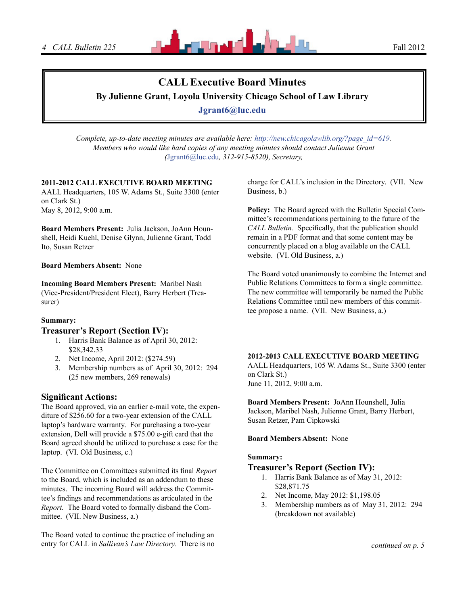

# **CALL Executive Board Minutes**

**By Julienne Grant, Loyola University Chicago School of Law Library**

**[Jgrant6@luc.edu](mailto:Jgrant6@luc.edu)**

*Complete, up-to-date meeting minutes are available here: [http://new.chicagolawlib.org/?page\\_id=619.](http://new.chicagolawlib.org/?page_id=619) Members who would like hard copies of any meeting minutes should contact Julienne Grant (*[Jgrant6@luc.edu](mailto:Jgrant6@luc.edu)*, 312-915-8520), Secretary,*

#### **2011-2012 CALL EXECUTIVE BOARD MEETING**

AALL Headquarters, 105 W. Adams St., Suite 3300 (enter on Clark St.) May 8, 2012, 9:00 a.m.

**Board Members Present:** Julia Jackson, JoAnn Hounshell, Heidi Kuehl, Denise Glynn, Julienne Grant, Todd Ito, Susan Retzer

#### **Board Members Absent:** None

**Incoming Board Members Present:** Maribel Nash (Vice-President/President Elect), Barry Herbert (Treasurer)

#### **Summary:**

### **Treasurer's Report (Section IV):**

- 1. Harris Bank Balance as of April 30, 2012: \$28,342.33
- 2. Net Income, April 2012: (\$274.59)
- 3. Membership numbers as of April 30, 2012: 294 (25 new members, 269 renewals)

## **Significant Actions:**

The Board approved, via an earlier e-mail vote, the expenditure of \$256.60 for a two-year extension of the CALL laptop's hardware warranty. For purchasing a two-year extension, Dell will provide a \$75.00 e-gift card that the Board agreed should be utilized to purchase a case for the laptop. (VI. Old Business, c.)

The Committee on Committees submitted its final *Report* to the Board, which is included as an addendum to these minutes. The incoming Board will address the Committee's findings and recommendations as articulated in the *Report.* The Board voted to formally disband the Committee. (VII. New Business, a.)

The Board voted to continue the practice of including an entry for CALL in *Sullivan's Law Directory.* There is no charge for CALL's inclusion in the Directory. (VII. New Business, b.)

**Policy:** The Board agreed with the Bulletin Special Committee's recommendations pertaining to the future of the *CALL Bulletin.* Specifically, that the publication should remain in a PDF format and that some content may be concurrently placed on a blog available on the CALL website. (VI. Old Business, a.)

The Board voted unanimously to combine the Internet and Public Relations Committees to form a single committee. The new committee will temporarily be named the Public Relations Committee until new members of this committee propose a name. (VII. New Business, a.)

#### **2012-2013 CALL EXECUTIVE BOARD MEETING**

AALL Headquarters, 105 W. Adams St., Suite 3300 (enter on Clark St.) June 11, 2012, 9:00 a.m.

**Board Members Present:** JoAnn Hounshell, Julia Jackson, Maribel Nash, Julienne Grant, Barry Herbert, Susan Retzer, Pam Cipkowski

#### **Board Members Absent:** None

#### **Summary:**

#### **Treasurer's Report (Section IV):**

- 1. Harris Bank Balance as of May 31, 2012: \$28,871.75
- 2. Net Income, May 2012: \$1,198.05
- 3. Membership numbers as of May 31, 2012: 294 (breakdown not available)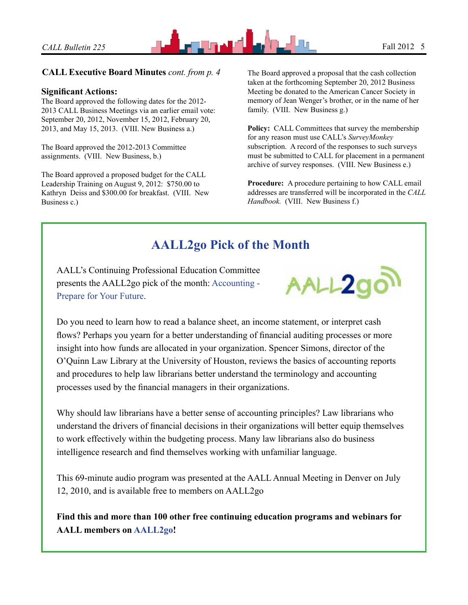

## **CALL Executive Board Minutes** *cont. from p. 4* The Board approved a proposal that the cash collection

### **Significant Actions:**

The Board approved the following dates for the 2012- 2013 CALL Business Meetings via an earlier email vote: September 20, 2012, November 15, 2012, February 20, 2013, and May 15, 2013. (VIII. New Business a.)

The Board approved the 2012-2013 Committee assignments. (VIII. New Business, b.)

The Board approved a proposed budget for the CALL Leadership Training on August 9, 2012: \$750.00 to Kathryn Deiss and \$300.00 for breakfast. (VIII. New Business c.)

taken at the forthcoming September 20, 2012 Business Meeting be donated to the American Cancer Society in memory of Jean Wenger's brother, or in the name of her family. (VIII. New Business g.)

Policy: CALL Committees that survey the membership for any reason must use CALL's *SurveyMonkey*  subscription. A record of the responses to such surveys must be submitted to CALL for placement in a permanent archive of survey responses. (VIII. New Business e.)

**Procedure:** A procedure pertaining to how CALL email addresses are transferred will be incorporated in the *CALL Handbook.* (VIII. New Business f.)

# **AALL2go Pick of the Month**

AALL's Continuing Professional Education Committee presents the AALL2go pick of the month: [Accounting -](http://aall.sclivelearningcenter.com/index.aspx?PID=6278&SID=121439)  [Prepare for Your Future](http://aall.sclivelearningcenter.com/index.aspx?PID=6278&SID=121439).



Do you need to learn how to read a balance sheet, an income statement, or interpret cash flows? Perhaps you yearn for a better understanding of financial auditing processes or more insight into how funds are allocated in your organization. Spencer Simons, director of the O'Quinn Law Library at the University of Houston, reviews the basics of accounting reports and procedures to help law librarians better understand the terminology and accounting processes used by the financial managers in their organizations.

Why should law librarians have a better sense of accounting principles? Law librarians who understand the drivers of financial decisions in their organizations will better equip themselves to work effectively within the budgeting process. Many law librarians also do business intelligence research and find themselves working with unfamiliar language.

This 69-minute audio program was presented at the AALL Annual Meeting in Denver on July 12, 2010, and is available free to members on AALL2go

**Find this and more than 100 other free continuing education programs and webinars for AALL members on [AALL2go](http://aall.sclivelearningcenter.com/)!**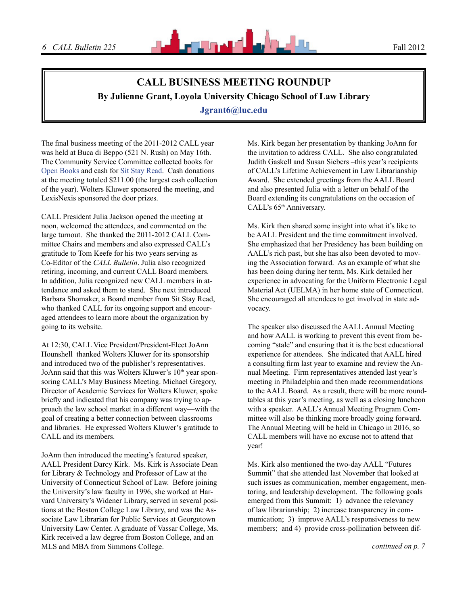

# **CALL BUSINESS MEETING ROUNDUP By Julienne Grant, Loyola University Chicago School of Law Library**

**Jgrant6@luc.edu**

The final business meeting of the 2011-2012 CALL year was held at Buca di Beppo (521 N. Rush) on May 16th. The Community Service Committee collected books for [Open Books](http://www.open-books.org/) and cash for [Sit Stay Read](http://www.sitstayread.org/). Cash donations at the meeting totaled \$211.00 (the largest cash collection of the year). Wolters Kluwer sponsored the meeting, and LexisNexis sponsored the door prizes.

CALL President Julia Jackson opened the meeting at noon, welcomed the attendees, and commented on the large turnout. She thanked the 2011-2012 CALL Committee Chairs and members and also expressed CALL's gratitude to Tom Keefe for his two years serving as Co-Editor of the *CALL Bulletin*. Julia also recognized retiring, incoming, and current CALL Board members. In addition, Julia recognized new CALL members in attendance and asked them to stand. She next introduced Barbara Shomaker, a Board member from Sit Stay Read, who thanked CALL for its ongoing support and encouraged attendees to learn more about the organization by going to its website.

At 12:30, CALL Vice President/President-Elect JoAnn Hounshell thanked Wolters Kluwer for its sponsorship and introduced two of the publisher's representatives. JoAnn said that this was Wolters Kluwer's  $10<sup>th</sup>$  year sponsoring CALL's May Business Meeting. Michael Gregory, Director of Academic Services for Wolters Kluwer, spoke briefly and indicated that his company was trying to approach the law school market in a different way—with the goal of creating a better connection between classrooms and libraries. He expressed Wolters Kluwer's gratitude to CALL and its members.

JoAnn then introduced the meeting's featured speaker, AALL President Darcy Kirk. Ms. Kirk is Associate Dean for Library & Technology and Professor of Law at the University of Connecticut School of Law. Before joining the University's law faculty in 1996, she worked at Harvard University's Widener Library, served in several positions at the Boston College Law Library, and was the Associate Law Librarian for Public Services at Georgetown University Law Center. A graduate of Vassar College, Ms. Kirk received a law degree from Boston College, and an MLS and MBA from Simmons College.

Ms. Kirk began her presentation by thanking JoAnn for the invitation to address CALL. She also congratulated Judith Gaskell and Susan Siebers –this year's recipients of CALL's Lifetime Achievement in Law Librarianship Award. She extended greetings from the AALL Board and also presented Julia with a letter on behalf of the Board extending its congratulations on the occasion of CALL's 65<sup>th</sup> Anniversary.

Ms. Kirk then shared some insight into what it's like to be AALL President and the time commitment involved. She emphasized that her Presidency has been building on AALL's rich past, but she has also been devoted to moving the Association forward. As an example of what she has been doing during her term, Ms. Kirk detailed her experience in advocating for the Uniform Electronic Legal Material Act (UELMA) in her home state of Connecticut. She encouraged all attendees to get involved in state advocacy.

The speaker also discussed the AALL Annual Meeting and how AALL is working to prevent this event from becoming "stale" and ensuring that it is the best educational experience for attendees. She indicated that AALL hired a consulting firm last year to examine and review the Annual Meeting. Firm representatives attended last year's meeting in Philadelphia and then made recommendations to the AALL Board. As a result, there will be more roundtables at this year's meeting, as well as a closing luncheon with a speaker. AALL's Annual Meeting Program Committee will also be thinking more broadly going forward. The Annual Meeting will be held in Chicago in 2016, so CALL members will have no excuse not to attend that year!

Ms. Kirk also mentioned the two-day AALL "Futures Summit" that she attended last November that looked at such issues as communication, member engagement, mentoring, and leadership development. The following goals emerged from this Summit: 1) advance the relevancy of law librarianship; 2) increase transparency in communication; 3) improve AALL's responsiveness to new members; and 4) provide cross-pollination between dif-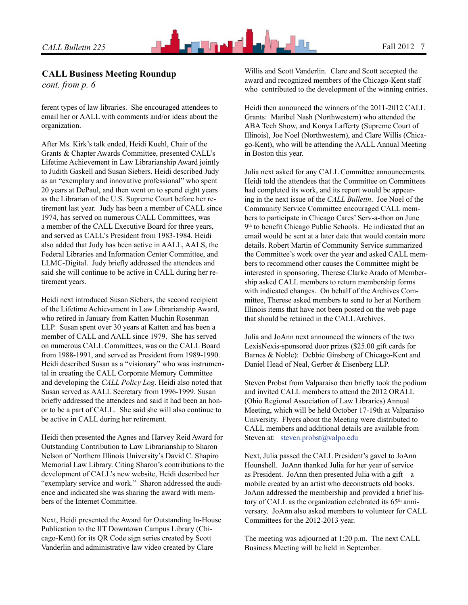

## **CALL Business Meeting Roundup**

*cont. from p. 6*

ferent types of law libraries. She encouraged attendees to email her or AALL with comments and/or ideas about the organization.

After Ms. Kirk's talk ended, Heidi Kuehl, Chair of the Grants & Chapter Awards Committee, presented CALL's Lifetime Achievement in Law Librarianship Award jointly to Judith Gaskell and Susan Siebers. Heidi described Judy as an "exemplary and innovative professional" who spent 20 years at DePaul, and then went on to spend eight years as the Librarian of the U.S. Supreme Court before her retirement last year. Judy has been a member of CALL since 1974, has served on numerous CALL Committees, was a member of the CALL Executive Board for three years, and served as CALL's President from 1983-1984. Heidi also added that Judy has been active in AALL, AALS, the Federal Libraries and Information Center Committee, and LLMC-Digital. Judy briefly addressed the attendees and said she will continue to be active in CALL during her retirement years.

Heidi next introduced Susan Siebers, the second recipient of the Lifetime Achievement in Law Librarianship Award, who retired in January from Katten Muchin Rosenman LLP. Susan spent over 30 years at Katten and has been a member of CALL and AALL since 1979. She has served on numerous CALL Committees, was on the CALL Board from 1988-1991, and served as President from 1989-1990. Heidi described Susan as a "visionary" who was instrumental in creating the CALL Corporate Memory Committee and developing the *CALL Policy Log*. Heidi also noted that Susan served as AALL Secretary from 1996-1999. Susan briefly addressed the attendees and said it had been an honor to be a part of CALL. She said she will also continue to be active in CALL during her retirement.

Heidi then presented the Agnes and Harvey Reid Award for Outstanding Contribution to Law Librarianship to Sharon Nelson of Northern Illinois University's David C. Shapiro Memorial Law Library. Citing Sharon's contributions to the development of CALL's new website, Heidi described her "exemplary service and work." Sharon addressed the audience and indicated she was sharing the award with members of the Internet Committee.

Next, Heidi presented the Award for Outstanding In-House Publication to the IIT Downtown Campus Library (Chicago-Kent) for its QR Code sign series created by Scott Vanderlin and administrative law video created by Clare

Willis and Scott Vanderlin. Clare and Scott accepted the award and recognized members of the Chicago-Kent staff who contributed to the development of the winning entries.

Heidi then announced the winners of the 2011-2012 CALL Grants: Maribel Nash (Northwestern) who attended the ABA Tech Show, and Konya Lafferty (Supreme Court of Illinois), Joe Noel (Northwestern), and Clare Willis (Chicago-Kent), who will be attending the AALL Annual Meeting in Boston this year.

Julia next asked for any CALL Committee announcements. Heidi told the attendees that the Committee on Committees had completed its work, and its report would be appearing in the next issue of the *CALL Bulletin*. Joe Noel of the Community Service Committee encouraged CALL members to participate in Chicago Cares' Serv-a-thon on June 9<sup>th</sup> to benefit Chicago Public Schools. He indicated that an email would be sent at a later date that would contain more details. Robert Martin of Community Service summarized the Committee's work over the year and asked CALL members to recommend other causes the Committee might be interested in sponsoring. Therese Clarke Arado of Membership asked CALL members to return membership forms with indicated changes. On behalf of the Archives Committee, Therese asked members to send to her at Northern Illinois items that have not been posted on the web page that should be retained in the CALL Archives.

Julia and JoAnn next announced the winners of the two LexisNexis-sponsored door prizes (\$25.00 gift cards for Barnes & Noble): Debbie Ginsberg of Chicago-Kent and Daniel Head of Neal, Gerber & Eisenberg LLP.

Steven Probst from Valparaiso then briefly took the podium and invited CALL members to attend the 2012 ORALL (Ohio Regional Association of Law Libraries) Annual Meeting, which will be held October 17-19th at Valparaiso University. Flyers about the Meeting were distributed to CALL members and additional details are available from Steven at: [steven.probst@valpo.edu](mailto:steven.probst@valpo.edu)

Next, Julia passed the CALL President's gavel to JoAnn Hounshell. JoAnn thanked Julia for her year of service as President. JoAnn then presented Julia with a gift—a mobile created by an artist who deconstructs old books. JoAnn addressed the membership and provided a brief history of CALL as the organization celebrated its  $65<sup>th</sup>$  anniversary. JoAnn also asked members to volunteer for CALL Committees for the 2012-2013 year.

The meeting was adjourned at 1:20 p.m. The next CALL Business Meeting will be held in September.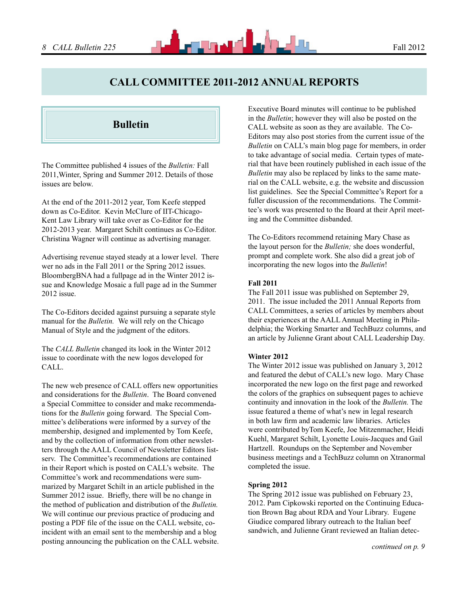## **CALL Committee 2011-2012 Annual Reports**

## **Bulletin**

The Committee published 4 issues of the *Bulletin:* Fall 2011,Winter, Spring and Summer 2012. Details of those issues are below.

At the end of the 2011-2012 year, Tom Keefe stepped down as Co-Editor. Kevin McClure of IIT-Chicago-Kent Law Library will take over as Co-Editor for the 2012-2013 year. Margaret Schilt continues as Co-Editor. Christina Wagner will continue as advertising manager.

Advertising revenue stayed steady at a lower level. There wer no ads in the Fall 2011 or the Spring 2012 issues. BloombergBNA had a fullpage ad in the Winter 2012 issue and Knowledge Mosaic a full page ad in the Summer 2012 issue.

The Co-Editors decided against pursuing a separate style manual for the *Bulletin.* We will rely on the Chicago Manual of Style and the judgment of the editors.

The *CALL Bulletin* changed its look in the Winter 2012 issue to coordinate with the new logos developed for CALL.

The new web presence of CALL offers new opportunities and considerations for the *Bulletin*. The Board convened a Special Committee to consider and make recommendations for the *Bulletin* going forward. The Special Committee's deliberations were informed by a survey of the membership, designed and implemented by Tom Keefe, and by the collection of information from other newsletters through the AALL Council of Newsletter Editors listserv. The Committee's recommendations are contained in their Report which is posted on CALL's website. The Committee's work and recommendations were summarized by Margaret Schilt in an article published in the Summer 2012 issue. Briefly, there will be no change in the method of publication and distribution of the *Bulletin.*  We will continue our previous practice of producing and posting a PDF file of the issue on the CALL website, coincident with an email sent to the membership and a blog posting announcing the publication on the CALL website. Executive Board minutes will continue to be published in the *Bulletin*; however they will also be posted on the CALL website as soon as they are available. The Co-Editors may also post stories from the current issue of the *Bulletin* on CALL's main blog page for members, in order to take advantage of social media. Certain types of material that have been routinely published in each issue of the *Bulletin* may also be replaced by links to the same material on the CALL website, e.g. the website and discussion list guidelines. See the Special Committee's Report for a fuller discussion of the recommendations. The Committee's work was presented to the Board at their April meeting and the Committee disbanded.

The Co-Editors recommend retaining Mary Chase as the layout person for the *Bulletin;* she does wonderful, prompt and complete work. She also did a great job of incorporating the new logos into the *Bulletin*!

#### **Fall 2011**

The Fall 2011 issue was published on September 29, 2011. The issue included the 2011 Annual Reports from CALL Committees, a series of articles by members about their experiences at the AALL Annual Meeting in Philadelphia; the Working Smarter and TechBuzz columns, and an article by Julienne Grant about CALL Leadership Day.

#### **Winter 2012**

The Winter 2012 issue was published on January 3, 2012 and featured the debut of CALL's new logo. Mary Chase incorporated the new logo on the first page and reworked the colors of the graphics on subsequent pages to achieve continuity and innovation in the look of the *Bulletin.* The issue featured a theme of what's new in legal research in both law firm and academic law libraries. Articles were contributed byTom Keefe, Joe Mitzenmacher, Heidi Kuehl, Margaret Schilt, Lyonette Louis-Jacques and Gail Hartzell. Roundups on the September and November business meetings and a TechBuzz column on Xtranormal completed the issue.

#### **Spring 2012**

The Spring 2012 issue was published on February 23, 2012. Pam Cipkowski reported on the Continuing Education Brown Bag about RDA and Your Library. Eugene Giudice compared library outreach to the Italian beef sandwich, and Julienne Grant reviewed an Italian detec-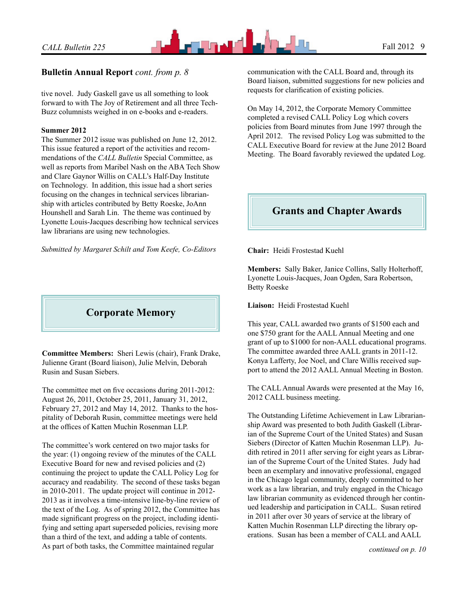

## **Bulletin Annual Report** *cont. from p. 8*

tive novel. Judy Gaskell gave us all something to look forward to with The Joy of Retirement and all three Tech-Buzz columnists weighed in on e-books and e-readers.

#### **Summer 2012**

The Summer 2012 issue was published on June 12, 2012. This issue featured a report of the activities and recommendations of the *CALL Bulletin* Special Committee, as well as reports from Maribel Nash on the ABA Tech Show and Clare Gaynor Willis on CALL's Half-Day Institute on Technology. In addition, this issue had a short series focusing on the changes in technical services librarianship with articles contributed by Betty Roeske, JoAnn Hounshell and Sarah Lin. The theme was continued by Lyonette Louis-Jacques describing how technical services law librarians are using new technologies.

*Submitted by Margaret Schilt and Tom Keefe, Co-Editors*



**Committee Members:** Sheri Lewis (chair), Frank Drake, Julienne Grant (Board liaison), Julie Melvin, Deborah Rusin and Susan Siebers.

The committee met on five occasions during 2011-2012: August 26, 2011, October 25, 2011, January 31, 2012, February 27, 2012 and May 14, 2012. Thanks to the hospitality of Deborah Rusin, committee meetings were held at the offices of Katten Muchin Rosenman LLP.

The committee's work centered on two major tasks for the year: (1) ongoing review of the minutes of the CALL Executive Board for new and revised policies and (2) continuing the project to update the CALL Policy Log for accuracy and readability. The second of these tasks began in 2010-2011. The update project will continue in 2012- 2013 as it involves a time-intensive line-by-line review of the text of the Log. As of spring 2012, the Committee has made significant progress on the project, including identifying and setting apart superseded policies, revising more than a third of the text, and adding a table of contents. As part of both tasks, the Committee maintained regular

communication with the CALL Board and, through its Board liaison, submitted suggestions for new policies and requests for clarification of existing policies.

On May 14, 2012, the Corporate Memory Committee completed a revised CALL Policy Log which covers policies from Board minutes from June 1997 through the April 2012. The revised Policy Log was submitted to the CALL Executive Board for review at the June 2012 Board Meeting. The Board favorably reviewed the updated Log.

# **Grants and Chapter Awards**

**Chair:** Heidi Frostestad Kuehl

**Members:** Sally Baker, Janice Collins, Sally Holterhoff, Lyonette Louis-Jacques, Joan Ogden, Sara Robertson, Betty Roeske

**Liaison:** Heidi Frostestad Kuehl

This year, CALL awarded two grants of \$1500 each and one \$750 grant for the AALL Annual Meeting and one grant of up to \$1000 for non-AALL educational programs. The committee awarded three AALL grants in 2011-12. Konya Lafferty, Joe Noel, and Clare Willis received support to attend the 2012 AALL Annual Meeting in Boston.

The CALL Annual Awards were presented at the May 16, 2012 CALL business meeting.

The Outstanding Lifetime Achievement in Law Librarianship Award was presented to both Judith Gaskell (Librarian of the Supreme Court of the United States) and Susan Siebers (Director of Katten Muchin Rosenman LLP). Judith retired in 2011 after serving for eight years as Librarian of the Supreme Court of the United States. Judy had been an exemplary and innovative professional, engaged in the Chicago legal community, deeply committed to her work as a law librarian, and truly engaged in the Chicago law librarian community as evidenced through her continued leadership and participation in CALL. Susan retired in 2011 after over 30 years of service at the library of Katten Muchin Rosenman LLP directing the library operations. Susan has been a member of CALL and AALL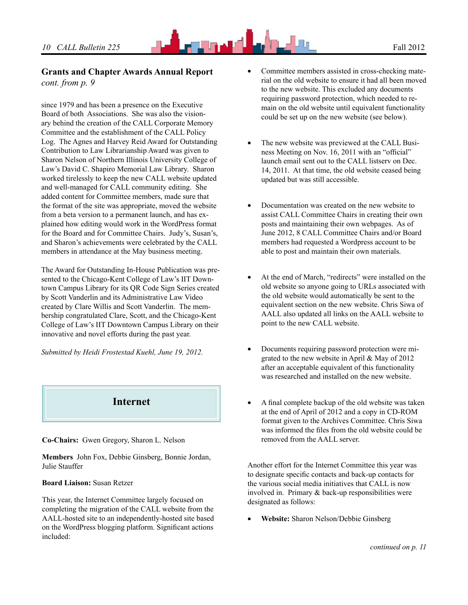# *10 CALL Bulletin 225* **Fall 2012**

### **Grants and Chapter Awards Annual Report** *cont. from p. 9*

since 1979 and has been a presence on the Executive Board of both Associations. She was also the visionary behind the creation of the CALL Corporate Memory Committee and the establishment of the CALL Policy Log. The Agnes and Harvey Reid Award for Outstanding Contribution to Law Librarianship Award was given to Sharon Nelson of Northern Illinois University College of Law's David C. Shapiro Memorial Law Library. Sharon worked tirelessly to keep the new CALL website updated and well-managed for CALL community editing. She added content for Committee members, made sure that the format of the site was appropriate, moved the website from a beta version to a permanent launch, and has explained how editing would work in the WordPress format for the Board and for Committee Chairs. Judy's, Susan's, and Sharon's achievements were celebrated by the CALL members in attendance at the May business meeting.

The Award for Outstanding In-House Publication was presented to the Chicago-Kent College of Law's IIT Downtown Campus Library for its QR Code Sign Series created by Scott Vanderlin and its Administrative Law Video created by Clare Willis and Scott Vanderlin. The membership congratulated Clare, Scott, and the Chicago-Kent College of Law's IIT Downtown Campus Library on their innovative and novel efforts during the past year.

*Submitted by Heidi Frostestad Kuehl, June 19, 2012.*



**Co-Chairs:** Gwen Gregory, Sharon L. Nelson

**Members** John Fox, Debbie Ginsberg, Bonnie Jordan, Julie Stauffer

#### **Board Liaison:** Susan Retzer

This year, the Internet Committee largely focused on completing the migration of the CALL website from the AALL-hosted site to an independently-hosted site based on the WordPress blogging platform. Significant actions included:

- Committee members assisted in cross-checking material on the old website to ensure it had all been moved to the new website. This excluded any documents requiring password protection, which needed to remain on the old website until equivalent functionality could be set up on the new website (see below).
- The new website was previewed at the CALL Business Meeting on Nov. 16, 2011 with an "official" launch email sent out to the CALL listserv on Dec. 14, 2011. At that time, the old website ceased being updated but was still accessible.
- Documentation was created on the new website to assist CALL Committee Chairs in creating their own posts and maintaining their own webpages. As of June 2012, 8 CALL Committee Chairs and/or Board members had requested a Wordpress account to be able to post and maintain their own materials.
- At the end of March, "redirects" were installed on the old website so anyone going to URLs associated with the old website would automatically be sent to the equivalent section on the new website. Chris Siwa of AALL also updated all links on the AALL website to point to the new CALL website.
- Documents requiring password protection were migrated to the new website in April & May of 2012 after an acceptable equivalent of this functionality was researched and installed on the new website.
- A final complete backup of the old website was taken at the end of April of 2012 and a copy in CD-ROM format given to the Archives Committee. Chris Siwa was informed the files from the old website could be removed from the AALL server.

Another effort for the Internet Committee this year was to designate specific contacts and back-up contacts for the various social media initiatives that CALL is now involved in. Primary & back-up responsibilities were designated as follows:

**Website:** Sharon Nelson/Debbie Ginsberg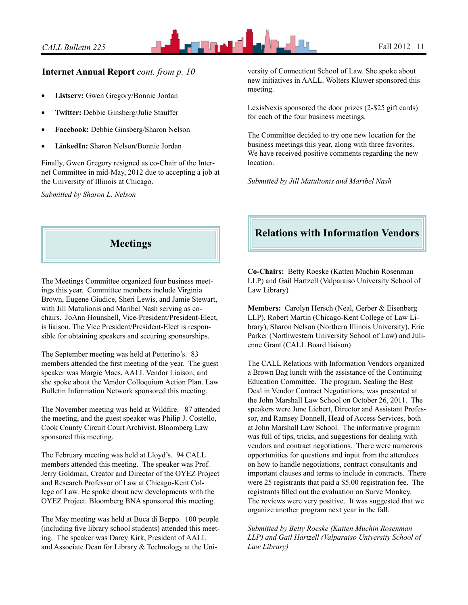

## **Internet Annual Report** *cont. from p. 10*

- Listserv: Gwen Gregory/Bonnie Jordan
- **Twitter:** Debbie Ginsberg/Julie Stauffer
- **Facebook:** Debbie Ginsberg/Sharon Nelson
- **LinkedIn:** Sharon Nelson/Bonnie Jordan

Finally, Gwen Gregory resigned as co-Chair of the Internet Committee in mid-May, 2012 due to accepting a job at the University of Illinois at Chicago.

*Submitted by Sharon L. Nelson*



The Meetings Committee organized four business meetings this year. Committee members include Virginia Brown, Eugene Giudice, Sheri Lewis, and Jamie Stewart, with Jill Matulionis and Maribel Nash serving as cochairs. JoAnn Hounshell, Vice-President/President-Elect, is liaison. The Vice President/President-Elect is responsible for obtaining speakers and securing sponsorships.

The September meeting was held at Petterino's. 83 members attended the first meeting of the year. The guest speaker was Margie Maes, AALL Vendor Liaison, and she spoke about the Vendor Colloquium Action Plan. Law Bulletin Information Network sponsored this meeting.

The November meeting was held at Wildfire. 87 attended the meeting, and the guest speaker was Philip J. Costello, Cook County Circuit Court Archivist. Bloomberg Law sponsored this meeting.

The February meeting was held at Lloyd's. 94 CALL members attended this meeting. The speaker was Prof. Jerry Goldman, Creator and Director of the OYEZ Project and Research Professor of Law at Chicago-Kent College of Law. He spoke about new developments with the OYEZ Project. Bloomberg BNA sponsored this meeting.

The May meeting was held at Buca di Beppo. 100 people (including five library school students) attended this meeting. The speaker was Darcy Kirk, President of AALL and Associate Dean for Library & Technology at the University of Connecticut School of Law. She spoke about new initiatives in AALL. Wolters Kluwer sponsored this meeting.

LexisNexis sponsored the door prizes (2-\$25 gift cards) for each of the four business meetings.

The Committee decided to try one new location for the business meetings this year, along with three favorites. We have received positive comments regarding the new location.

*Submitted by Jill Matulionis and Maribel Nash*

# **Relations with Information Vendors**

**Co-Chairs:** Betty Roeske (Katten Muchin Rosenman LLP) and Gail Hartzell (Valparaiso University School of Law Library)

**Members:** Carolyn Hersch (Neal, Gerber & Eisenberg LLP), Robert Martin (Chicago-Kent College of Law Library), Sharon Nelson (Northern Illinois University), Eric Parker (Northwestern University School of Law) and Julienne Grant (CALL Board liaison)

The CALL Relations with Information Vendors organized a Brown Bag lunch with the assistance of the Continuing Education Committee. The program, Sealing the Best Deal in Vendor Contract Negotiations, was presented at the John Marshall Law School on October 26, 2011. The speakers were June Liebert, Director and Assistant Professor, and Ramsey Donnell, Head of Access Services, both at John Marshall Law School. The informative program was full of tips, tricks, and suggestions for dealing with vendors and contract negotiations. There were numerous opportunities for questions and input from the attendees on how to handle negotiations, contract consultants and important clauses and terms to include in contracts. There were 25 registrants that paid a \$5.00 registration fee. The registrants filled out the evaluation on Surve Monkey. The reviews were very positive. It was suggested that we organize another program next year in the fall.

*Submitted by Betty Roeske (Katten Muchin Rosenman LLP) and Gail Hartzell (Valparaiso University School of Law Library)*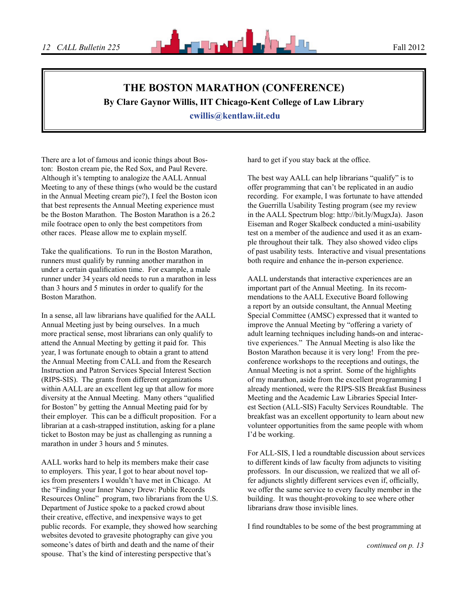# **The Boston Marathon (Conference)**

**By Clare Gaynor Willis, IIT Chicago-Kent College of Law Library**

 **cwillis@kentlaw.iit.edu**

There are a lot of famous and iconic things about Boston: Boston cream pie, the Red Sox, and Paul Revere. Although it's tempting to analogize the AALL Annual Meeting to any of these things (who would be the custard in the Annual Meeting cream pie?), I feel the Boston icon that best represents the Annual Meeting experience must be the Boston Marathon. The Boston Marathon is a 26.2 mile footrace open to only the best competitors from other races. Please allow me to explain myself.

Take the qualifications. To run in the Boston Marathon, runners must qualify by running another marathon in under a certain qualification time. For example, a male runner under 34 years old needs to run a marathon in less than 3 hours and 5 minutes in order to qualify for the Boston Marathon.

In a sense, all law librarians have qualified for the AALL Annual Meeting just by being ourselves. In a much more practical sense, most librarians can only qualify to attend the Annual Meeting by getting it paid for. This year, I was fortunate enough to obtain a grant to attend the Annual Meeting from CALL and from the Research Instruction and Patron Services Special Interest Section (RIPS-SIS). The grants from different organizations within AALL are an excellent leg up that allow for more diversity at the Annual Meeting. Many others "qualified for Boston" by getting the Annual Meeting paid for by their employer. This can be a difficult proposition. For a librarian at a cash-strapped institution, asking for a plane ticket to Boston may be just as challenging as running a marathon in under 3 hours and 5 minutes.

AALL works hard to help its members make their case to employers. This year, I got to hear about novel topics from presenters I wouldn't have met in Chicago. At the "Finding your Inner Nancy Drew: Public Records Resources Online" program, two librarians from the U.S. Department of Justice spoke to a packed crowd about their creative, effective, and inexpensive ways to get public records. For example, they showed how searching websites devoted to gravesite photography can give you someone's dates of birth and death and the name of their spouse. That's the kind of interesting perspective that's

hard to get if you stay back at the office.

The best way AALL can help librarians "qualify" is to offer programming that can't be replicated in an audio recording. For example, I was fortunate to have attended the Guerrilla Usability Testing program (see my review in the AALL Spectrum blog: http://bit.ly/MugxJa). Jason Eiseman and Roger Skalbeck conducted a mini-usability test on a member of the audience and used it as an example throughout their talk. They also showed video clips of past usability tests. Interactive and visual presentations both require and enhance the in-person experience.

AALL understands that interactive experiences are an important part of the Annual Meeting. In its recommendations to the AALL Executive Board following a report by an outside consultant, the Annual Meeting Special Committee (AMSC) expressed that it wanted to improve the Annual Meeting by "offering a variety of adult learning techniques including hands-on and interactive experiences." The Annual Meeting is also like the Boston Marathon because it is very long! From the preconference workshops to the receptions and outings, the Annual Meeting is not a sprint. Some of the highlights of my marathon, aside from the excellent programming I already mentioned, were the RIPS-SIS Breakfast Business Meeting and the Academic Law Libraries Special Interest Section (ALL-SIS) Faculty Services Roundtable. The breakfast was an excellent opportunity to learn about new volunteer opportunities from the same people with whom I'd be working.

For ALL-SIS, I led a roundtable discussion about services to different kinds of law faculty from adjuncts to visiting professors. In our discussion, we realized that we all offer adjuncts slightly different services even if, officially, we offer the same service to every faculty member in the building. It was thought-provoking to see where other librarians draw those invisible lines.

I find roundtables to be some of the best programming at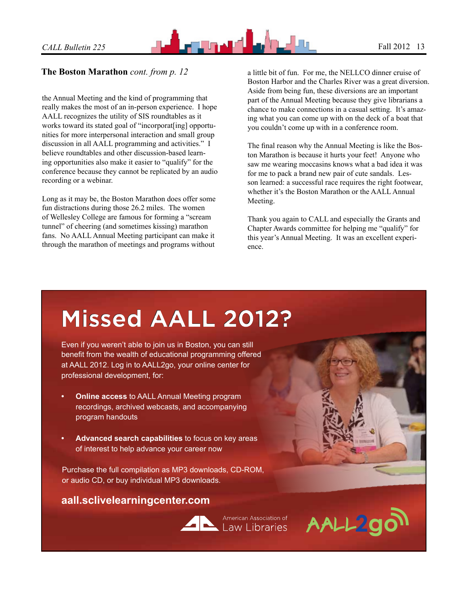

## **The Boston Marathon** *cont. from p. 12*

the Annual Meeting and the kind of programming that really makes the most of an in-person experience. I hope AALL recognizes the utility of SIS roundtables as it works toward its stated goal of "incorporat[ing] opportunities for more interpersonal interaction and small group discussion in all AALL programming and activities." I believe roundtables and other discussion-based learning opportunities also make it easier to "qualify" for the conference because they cannot be replicated by an audio recording or a webinar.

Long as it may be, the Boston Marathon does offer some fun distractions during those 26.2 miles. The women of Wellesley College are famous for forming a "scream tunnel" of cheering (and sometimes kissing) marathon fans. No AALL Annual Meeting participant can make it through the marathon of meetings and programs without

a little bit of fun. For me, the NELLCO dinner cruise of Boston Harbor and the Charles River was a great diversion. Aside from being fun, these diversions are an important part of the Annual Meeting because they give librarians a chance to make connections in a casual setting. It's amazing what you can come up with on the deck of a boat that you couldn't come up with in a conference room.

The final reason why the Annual Meeting is like the Boston Marathon is because it hurts your feet! Anyone who saw me wearing moccasins knows what a bad idea it was for me to pack a brand new pair of cute sandals. Lesson learned: a successful race requires the right footwear, whether it's the Boston Marathon or the AALL Annual Meeting.

Thank you again to CALL and especially the Grants and Chapter Awards committee for helping me "qualify" for this year's Annual Meeting. It was an excellent experience.

# **[Missed AALL 2012?](http://aall.sclivelearningcenter.com)**

Even if you weren't able to join us in Boston, you can still benefit from the wealth of educational programming offered at AALL 2012. Log in to AALL2go, your online center for professional development, for:

- **Online access to AALL Annual Meeting program** recordings, archived webcasts, and accompanying program handouts
- **• Advanced search capabilities** to focus on key areas of interest to help advance your career now

Purchase the full compilation as MP3 downloads, CD-ROM, or audio CD, or buy individual MP3 downloads.

## **aall.sclivelearningcenter.com**



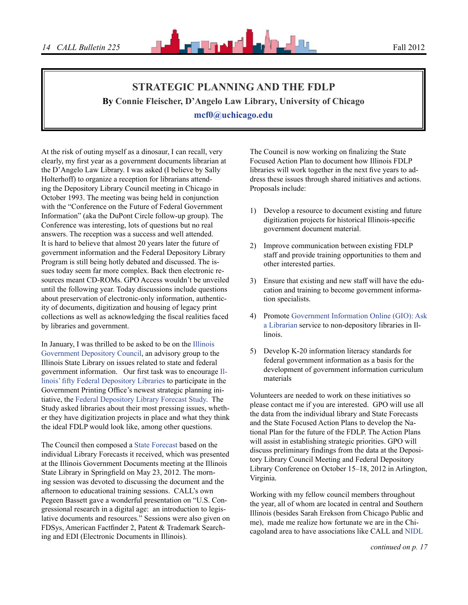# **Strategic Planning and the FDLP By Connie Fleischer, D'Angelo Law Library, University of Chicago mcf0@uchicago.edu**

At the risk of outing myself as a dinosaur, I can recall, very clearly, my first year as a government documents librarian at the D'Angelo Law Library. I was asked (I believe by Sally Holterhoff) to organize a reception for librarians attending the Depository Library Council meeting in Chicago in October 1993. The meeting was being held in conjunction with the "Conference on the Future of Federal Government Information" (aka the DuPont Circle follow-up group). The Conference was interesting, lots of questions but no real answers. The reception was a success and well attended. It is hard to believe that almost 20 years later the future of government information and the Federal Depository Library Program is still being hotly debated and discussed. The issues today seem far more complex. Back then electronic resources meant CD-ROMs. GPO Access wouldn't be unveiled until the following year. Today discussions include questions about preservation of electronic-only information, authenticity of documents, digitization and housing of legacy print collections as well as acknowledging the fiscal realities faced by libraries and government.

In January, I was thrilled to be asked to be on the [Illinois](http://www.cyberdriveillinois.com/departments/library/depository_programs/home.html#Council)  [Government Depository Council](http://www.cyberdriveillinois.com/departments/library/depository_programs/home.html#Council), an advisory group to the Illinois State Library on issues related to state and federal government information. Our first task was to encourage [Il](http://maps.google.com/maps/ms?ie=UTF8&hl=en&msa=0&msid=110309281814607482173.00044027a790aeff420de&om=1&ll=40.655639,-89.318848&spn=5.924876,8.602295&z=7)[linois' fifty Federal Depository Libraries](http://maps.google.com/maps/ms?ie=UTF8&hl=en&msa=0&msid=110309281814607482173.00044027a790aeff420de&om=1&ll=40.655639,-89.318848&spn=5.924876,8.602295&z=7) to participate in the Government Printing Office's newest strategic planning initiative, the [Federal Depository Library Forecast Study](http://www.fdlp.gov/project-information). The Study asked libraries about their most pressing issues, whether they have digitization projects in place and what they think the ideal FDLP would look like, among other questions.

The Council then composed a [State Forecast](http://www.cyberdriveillinois.com/departments/library/depository_programs/pdfs/fdlp_state_forecast.pdf) based on the individual Library Forecasts it received, which was presented at the Illinois Government Documents meeting at the Illinois State Library in Springfield on May 23, 2012. The morning session was devoted to discussing the document and the afternoon to educational training sessions. CALL's own Pegeen Bassett gave a wonderful presentation on "U.S. Congressional research in a digital age: an introduction to legislative documents and resources." Sessions were also given on FDSys, American Factfinder 2, Patent & Trademark Searching and EDI (Electronic Documents in Illinois).

The Council is now working on finalizing the State Focused Action Plan to document how Illinois FDLP libraries will work together in the next five years to address these issues through shared initiatives and actions. Proposals include:

- 1) Develop a resource to document existing and future digitization projects for historical Illinois-specific government document material.
- 2) Improve communication between existing FDLP staff and provide training opportunities to them and other interested parties.
- 3) Ensure that existing and new staff will have the education and training to become government information specialists.
- 4) Promote [Government Information Online \(GIO\): Ask](http://govtinfo.org/)  [a Librarian](http://govtinfo.org/) service to non-depository libraries in Illinois.
- 5) Develop K-20 information literacy standards for federal government information as a basis for the development of government information curriculum materials

Volunteers are needed to work on these initiatives so please contact me if you are interested. GPO will use all the data from the individual library and State Forecasts and the State Focused Action Plans to develop the National Plan for the future of the FDLP. The Action Plans will assist in establishing strategic priorities. GPO will discuss preliminary findings from the data at the Depository Library Council Meeting and Federal Depository Library Conference on October 15–18, 2012 in Arlington, Virginia.

Working with my fellow council members throughout the year, all of whom are located in central and Southern Illinois (besides Sarah Erekson from Chicago Public and me), made me realize how fortunate we are in the Chicagoland area to have associations like CALL and [NIDL](http://files.library.northwestern.edu/nidl/)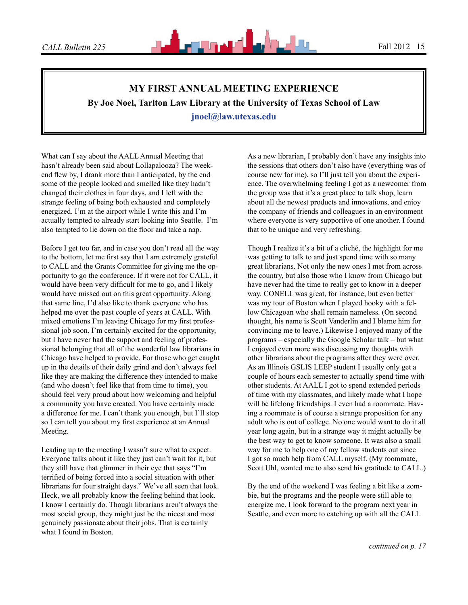# **My First Annual Meeting Experience By Joe Noel, Tarlton Law Library at the University of Texas School of Law jnoel@law.utexas.edu**

What can I say about the AALL Annual Meeting that hasn't already been said about Lollapalooza? The weekend flew by, I drank more than I anticipated, by the end some of the people looked and smelled like they hadn't changed their clothes in four days, and I left with the strange feeling of being both exhausted and completely energized. I'm at the airport while I write this and I'm actually tempted to already start looking into Seattle. I'm also tempted to lie down on the floor and take a nap.

Before I get too far, and in case you don't read all the way to the bottom, let me first say that I am extremely grateful to CALL and the Grants Committee for giving me the opportunity to go the conference. If it were not for CALL, it would have been very difficult for me to go, and I likely would have missed out on this great opportunity. Along that same line, I'd also like to thank everyone who has helped me over the past couple of years at CALL. With mixed emotions I'm leaving Chicago for my first professional job soon. I'm certainly excited for the opportunity, but I have never had the support and feeling of professional belonging that all of the wonderful law librarians in Chicago have helped to provide. For those who get caught up in the details of their daily grind and don't always feel like they are making the difference they intended to make (and who doesn't feel like that from time to time), you should feel very proud about how welcoming and helpful a community you have created. You have certainly made a difference for me. I can't thank you enough, but I'll stop so I can tell you about my first experience at an Annual Meeting.

Leading up to the meeting I wasn't sure what to expect. Everyone talks about it like they just can't wait for it, but they still have that glimmer in their eye that says "I'm terrified of being forced into a social situation with other librarians for four straight days." We've all seen that look. Heck, we all probably know the feeling behind that look. I know I certainly do. Though librarians aren't always the most social group, they might just be the nicest and most genuinely passionate about their jobs. That is certainly what I found in Boston.

As a new librarian, I probably don't have any insights into the sessions that others don't also have (everything was of course new for me), so I'll just tell you about the experience. The overwhelming feeling I got as a newcomer from the group was that it's a great place to talk shop, learn about all the newest products and innovations, and enjoy the company of friends and colleagues in an environment where everyone is very supportive of one another. I found that to be unique and very refreshing.

Though I realize it's a bit of a cliché, the highlight for me was getting to talk to and just spend time with so many great librarians. Not only the new ones I met from across the country, but also those who I know from Chicago but have never had the time to really get to know in a deeper way. CONELL was great, for instance, but even better was my tour of Boston when I played hooky with a fellow Chicagoan who shall remain nameless. (On second thought, his name is Scott Vanderlin and I blame him for convincing me to leave.) Likewise I enjoyed many of the programs – especially the Google Scholar talk – but what I enjoyed even more was discussing my thoughts with other librarians about the programs after they were over. As an Illinois GSLIS LEEP student I usually only get a couple of hours each semester to actually spend time with other students. At AALL I got to spend extended periods of time with my classmates, and likely made what I hope will be lifelong friendships. I even had a roommate. Having a roommate is of course a strange proposition for any adult who is out of college. No one would want to do it all year long again, but in a strange way it might actually be the best way to get to know someone. It was also a small way for me to help one of my fellow students out since I got so much help from CALL myself. (My roommate, Scott Uhl, wanted me to also send his gratitude to CALL.)

By the end of the weekend I was feeling a bit like a zombie, but the programs and the people were still able to energize me. I look forward to the program next year in Seattle, and even more to catching up with all the CALL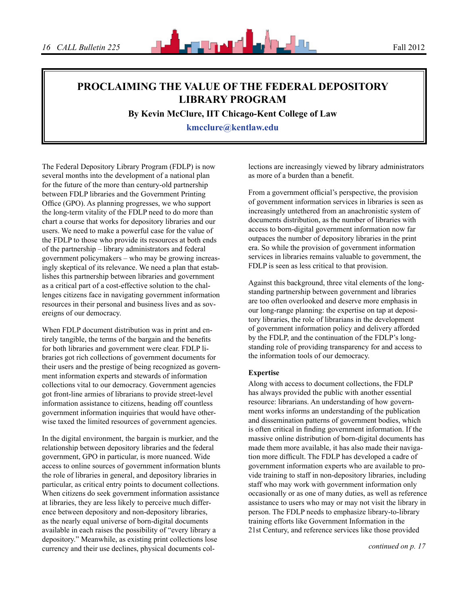

# **Proclaiming the Value of the Federal Depository Library Program**

**By Kevin McClure, IIT Chicago-Kent College of Law**

**kmcclure@kentlaw.edu**

The Federal Depository Library Program (FDLP) is now several months into the development of a national plan for the future of the more than century-old partnership between FDLP libraries and the Government Printing Office (GPO). As planning progresses, we who support the long-term vitality of the FDLP need to do more than chart a course that works for depository libraries and our users. We need to make a powerful case for the value of the FDLP to those who provide its resources at both ends of the partnership – library administrators and federal government policymakers – who may be growing increasingly skeptical of its relevance. We need a plan that establishes this partnership between libraries and government as a critical part of a cost-effective solution to the challenges citizens face in navigating government information resources in their personal and business lives and as sovereigns of our democracy.

When FDLP document distribution was in print and entirely tangible, the terms of the bargain and the benefits for both libraries and government were clear. FDLP libraries got rich collections of government documents for their users and the prestige of being recognized as government information experts and stewards of information collections vital to our democracy. Government agencies got front-line armies of librarians to provide street-level information assistance to citizens, heading off countless government information inquiries that would have otherwise taxed the limited resources of government agencies.

In the digital environment, the bargain is murkier, and the relationship between depository libraries and the federal government, GPO in particular, is more nuanced. Wide access to online sources of government information blunts the role of libraries in general, and depository libraries in particular, as critical entry points to document collections. When citizens do seek government information assistance at libraries, they are less likely to perceive much difference between depository and non-depository libraries, as the nearly equal universe of born-digital documents available in each raises the possibility of "every library a depository." Meanwhile, as existing print collections lose currency and their use declines, physical documents collections are increasingly viewed by library administrators as more of a burden than a benefit.

From a government official's perspective, the provision of government information services in libraries is seen as increasingly untethered from an anachronistic system of documents distribution, as the number of libraries with access to born-digital government information now far outpaces the number of depository libraries in the print era. So while the provision of government information services in libraries remains valuable to government, the FDLP is seen as less critical to that provision.

Against this background, three vital elements of the longstanding partnership between government and libraries are too often overlooked and deserve more emphasis in our long-range planning: the expertise on tap at depository libraries, the role of librarians in the development of government information policy and delivery afforded by the FDLP, and the continuation of the FDLP's longstanding role of providing transparency for and access to the information tools of our democracy.

#### **Expertise**

Along with access to document collections, the FDLP has always provided the public with another essential resource: librarians. An understanding of how government works informs an understanding of the publication and dissemination patterns of government bodies, which is often critical in finding government information. If the massive online distribution of born-digital documents has made them more available, it has also made their navigation more difficult. The FDLP has developed a cadre of government information experts who are available to provide training to staff in non-depository libraries, including staff who may work with government information only occasionally or as one of many duties, as well as reference assistance to users who may or may not visit the library in person. The FDLP needs to emphasize library-to-library training efforts like Government Information in the 21st Century, and reference services like those provided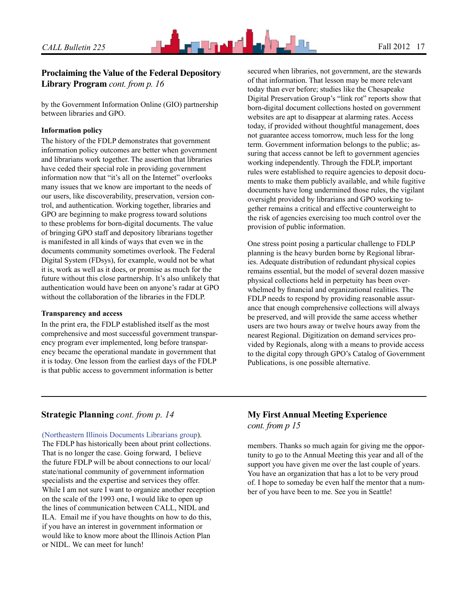

## **Proclaiming the Value of the Federal Depository Library Program** *cont. from p. 16*

by the Government Information Online (GIO) partnership between libraries and GPO.

#### **Information policy**

The history of the FDLP demonstrates that government information policy outcomes are better when government and librarians work together. The assertion that libraries have ceded their special role in providing government information now that "it's all on the Internet" overlooks many issues that we know are important to the needs of our users, like discoverability, preservation, version control, and authentication. Working together, libraries and GPO are beginning to make progress toward solutions to these problems for born-digital documents. The value of bringing GPO staff and depository librarians together is manifested in all kinds of ways that even we in the documents community sometimes overlook. The Federal Digital System (FDsys), for example, would not be what it is, work as well as it does, or promise as much for the future without this close partnership. It's also unlikely that authentication would have been on anyone's radar at GPO without the collaboration of the libraries in the FDLP.

#### **Transparency and access**

In the print era, the FDLP established itself as the most comprehensive and most successful government transparency program ever implemented, long before transparency became the operational mandate in government that it is today. One lesson from the earliest days of the FDLP is that public access to government information is better

secured when libraries, not government, are the stewards of that information. That lesson may be more relevant today than ever before; studies like the Chesapeake Digital Preservation Group's "link rot" reports show that born-digital document collections hosted on government websites are apt to disappear at alarming rates. Access today, if provided without thoughtful management, does not guarantee access tomorrow, much less for the long term. Government information belongs to the public; assuring that access cannot be left to government agencies working independently. Through the FDLP, important rules were established to require agencies to deposit documents to make them publicly available, and while fugitive documents have long undermined those rules, the vigilant oversight provided by librarians and GPO working together remains a critical and effective counterweight to the risk of agencies exercising too much control over the provision of public information.

One stress point posing a particular challenge to FDLP planning is the heavy burden borne by Regional libraries. Adequate distribution of redundant physical copies remains essential, but the model of several dozen massive physical collections held in perpetuity has been overwhelmed by financial and organizational realities. The FDLP needs to respond by providing reasonable assurance that enough comprehensive collections will always be preserved, and will provide the same access whether users are two hours away or twelve hours away from the nearest Regional. Digitization on demand services provided by Regionals, along with a means to provide access to the digital copy through GPO's Catalog of Government Publications, is one possible alternative.

## **Strategic Planning** *cont. from p. 14*

[\(Northeastern Illinois Documents Librarians group](http://files.library.northwestern.edu/nidl/)).

The FDLP has historically been about print collections. That is no longer the case. Going forward, I believe the future FDLP will be about connections to our local/ state/national community of government information specialists and the expertise and services they offer. While I am not sure I want to organize another reception on the scale of the 1993 one, I would like to open up the lines of communication between CALL, NIDL and ILA. Email me if you have thoughts on how to do this, if you have an interest in government information or would like to know more about the Illinois Action Plan or NIDL. We can meet for lunch!

## **My First Annual Meeting Experience** *cont. from p 15*

members. Thanks so much again for giving me the opportunity to go to the Annual Meeting this year and all of the support you have given me over the last couple of years. You have an organization that has a lot to be very proud of. I hope to someday be even half the mentor that a number of you have been to me. See you in Seattle!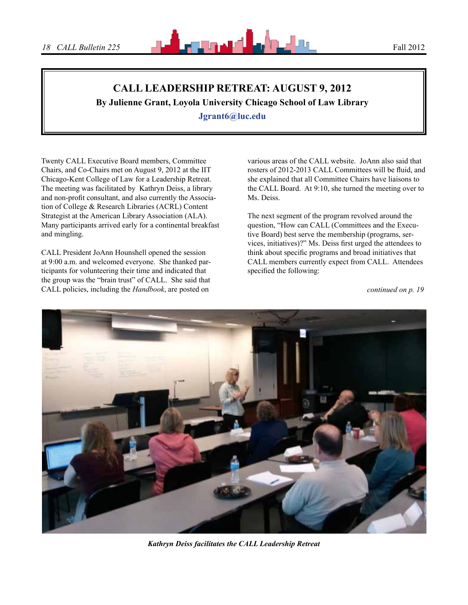

# **CALL Leadership Retreat: August 9, 2012**

**By Julienne Grant, Loyola University Chicago School of Law Library**

**Jgrant6@luc.edu**

Twenty CALL Executive Board members, Committee Chairs, and Co-Chairs met on August 9, 2012 at the IIT Chicago-Kent College of Law for a Leadership Retreat. The meeting was facilitated by Kathryn Deiss, a library and non-profit consultant, and also currently the Association of College & Research Libraries (ACRL) Content Strategist at the American Library Association (ALA). Many participants arrived early for a continental breakfast and mingling.

CALL President JoAnn Hounshell opened the session at 9:00 a.m. and welcomed everyone. She thanked participants for volunteering their time and indicated that the group was the "brain trust" of CALL. She said that CALL policies, including the *Handbook*, are posted on

various areas of the CALL website. JoAnn also said that rosters of 2012-2013 CALL Committees will be fluid, and she explained that all Committee Chairs have liaisons to the CALL Board. At 9:10, she turned the meeting over to Ms. Deiss.

The next segment of the program revolved around the question, "How can CALL (Committees and the Executive Board) best serve the membership (programs, services, initiatives)?" Ms. Deiss first urged the attendees to think about specific programs and broad initiatives that CALL members currently expect from CALL. Attendees specified the following:



*Kathryn Deiss facilitates the CALL Leadership Retreat*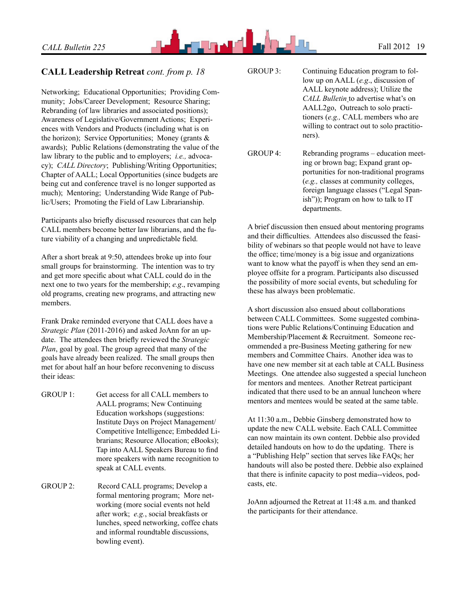

## **CALL Leadership Retreat** *cont. from p. 18*

Networking; Educational Opportunities; Providing Community; Jobs/Career Development; Resource Sharing; Rebranding (of law libraries and associated positions); Awareness of Legislative/Government Actions; Experiences with Vendors and Products (including what is on the horizon); Service Opportunities; Money (grants & awards); Public Relations (demonstrating the value of the law library to the public and to employers; *i.e.,* advocacy); *CALL Directory*; Publishing/Writing Opportunities; Chapter of AALL; Local Opportunities (since budgets are being cut and conference travel is no longer supported as much); Mentoring; Understanding Wide Range of Public/Users; Promoting the Field of Law Librarianship.

Participants also briefly discussed resources that can help CALL members become better law librarians, and the future viability of a changing and unpredictable field.

After a short break at 9:50, attendees broke up into four small groups for brainstorming. The intention was to try and get more specific about what CALL could do in the next one to two years for the membership; *e.g*., revamping old programs, creating new programs, and attracting new members.

Frank Drake reminded everyone that CALL does have a *Strategic Plan* (2011-2016) and asked JoAnn for an update. The attendees then briefly reviewed the *Strategic Plan*, goal by goal. The group agreed that many of the goals have already been realized. The small groups then met for about half an hour before reconvening to discuss their ideas:

- GROUP 1: Get access for all CALL members to AALL programs; New Continuing Education workshops (suggestions: Institute Days on Project Management/ Competitive Intelligence; Embedded Librarians; Resource Allocation; eBooks); Tap into AALL Speakers Bureau to find more speakers with name recognition to speak at CALL events.
- GROUP 2: Record CALL programs; Develop a formal mentoring program; More networking (more social events not held after work; *e.g.*, social breakfasts or lunches, speed networking, coffee chats and informal roundtable discussions, bowling event).

GROUP 3: Continuing Education program to follow up on AALL (*e.g*., discussion of AALL keynote address); Utilize the *CALL Bulletin* to advertise what's on AALL2go, Outreach to solo practitioners (*e.g.,* CALL members who are willing to contract out to solo practitioners).

GROUP 4: Rebranding programs – education meeting or brown bag; Expand grant opportunities for non-traditional programs (*e.g.,* classes at community colleges, foreign language classes ("Legal Spanish")); Program on how to talk to IT departments.

A brief discussion then ensued about mentoring programs and their difficulties. Attendees also discussed the feasibility of webinars so that people would not have to leave the office; time/money is a big issue and organizations want to know what the payoff is when they send an employee offsite for a program. Participants also discussed the possibility of more social events, but scheduling for these has always been problematic.

A short discussion also ensued about collaborations between CALL Committees. Some suggested combinations were Public Relations/Continuing Education and Membership/Placement & Recruitment. Someone recommended a pre-Business Meeting gathering for new members and Committee Chairs. Another idea was to have one new member sit at each table at CALL Business Meetings. One attendee also suggested a special luncheon for mentors and mentees. Another Retreat participant indicated that there used to be an annual luncheon where mentors and mentees would be seated at the same table.

At 11:30 a.m., Debbie Ginsberg demonstrated how to update the new CALL website. Each CALL Committee can now maintain its own content. Debbie also provided detailed handouts on how to do the updating. There is a "Publishing Help" section that serves like FAQs; her handouts will also be posted there. Debbie also explained that there is infinite capacity to post media--videos, podcasts, etc.

JoAnn adjourned the Retreat at 11:48 a.m. and thanked the participants for their attendance.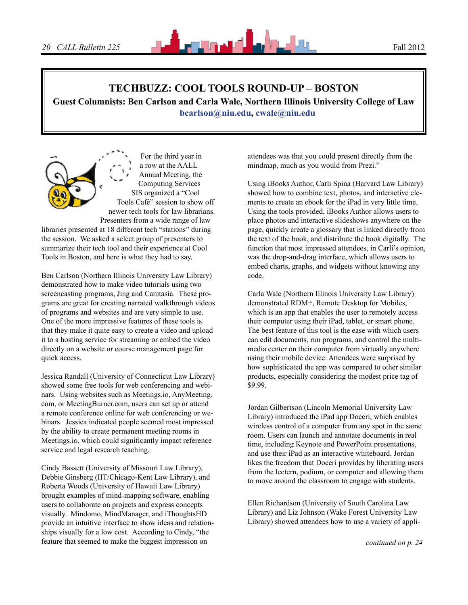

## **TechBuzz: Cool Tools Round-Up – Boston**

**Guest Columnists: Ben Carlson and Carla Wale, Northern Illinois University College of Law [bcarlson@niu.edu,](mailto:bcarlson@niu.edu) [cwale@niu.edu](mailto:cwale@niu.edu)**

For the third year in a row at the AALL Annual Meeting, the Computing Services SIS organized a "Cool Tools Café" session to show off newer tech tools for law librarians. Presenters from a wide range of law

libraries presented at 18 different tech "stations" during the session. We asked a select group of presenters to summarize their tech tool and their experience at Cool Tools in Boston, and here is what they had to say.

Ben Carlson (Northern Illinois University Law Library) demonstrated how to make video tutorials using two screencasting programs, Jing and Camtasia. These programs are great for creating narrated walkthrough videos of programs and websites and are very simple to use. One of the more impressive features of these tools is that they make it quite easy to create a video and upload it to a hosting service for streaming or embed the video directly on a website or course management page for quick access.

Jessica Randall (University of Connecticut Law Library) showed some free tools for web conferencing and webinars. Using websites such as Meetings.io, AnyMeeting. com, or MeetingBurner.com, users can set up or attend a remote conference online for web conferencing or webinars. Jessica indicated people seemed most impressed by the ability to create permanent meeting rooms in Meetings.io, which could significantly impact reference service and legal research teaching.

Cindy Bassett (University of Missouri Law Library), Debbie Ginsberg (IIT/Chicago-Kent Law Library), and Roberta Woods (University of Hawaii Law Library) brought examples of mind-mapping software, enabling users to collaborate on projects and express concepts visually. Mindomo, MindManager, and iThoughtsHD provide an intuitive interface to show ideas and relationships visually for a low cost. According to Cindy, "the feature that seemed to make the biggest impression on

attendees was that you could present directly from the mindmap, much as you would from Prezi."

Using iBooks Author, Carli Spina (Harvard Law Library) showed how to combine text, photos, and interactive elements to create an ebook for the iPad in very little time. Using the tools provided, iBooks Author allows users to place photos and interactive slideshows anywhere on the page, quickly create a glossary that is linked directly from the text of the book, and distribute the book digitally. The function that most impressed attendees, in Carli's opinion, was the drop-and-drag interface, which allows users to embed charts, graphs, and widgets without knowing any code.

Carla Wale (Northern Illinois University Law Library) demonstrated RDM+, Remote Desktop for Mobiles, which is an app that enables the user to remotely access their computer using their iPad, tablet, or smart phone. The best feature of this tool is the ease with which users can edit documents, run programs, and control the multimedia center on their computer from virtually anywhere using their mobile device. Attendees were surprised by how sophisticated the app was compared to other similar products, especially considering the modest price tag of \$9.99.

Jordan Gilbertson (Lincoln Memorial University Law Library) introduced the iPad app Doceri, which enables wireless control of a computer from any spot in the same room. Users can launch and annotate documents in real time, including Keynote and PowerPoint presentations, and use their iPad as an interactive whiteboard. Jordan likes the freedom that Doceri provides by liberating users from the lectern, podium, or computer and allowing them to move around the classroom to engage with students.

Ellen Richardson (University of South Carolina Law Library) and Liz Johnson (Wake Forest University Law Library) showed attendees how to use a variety of appli-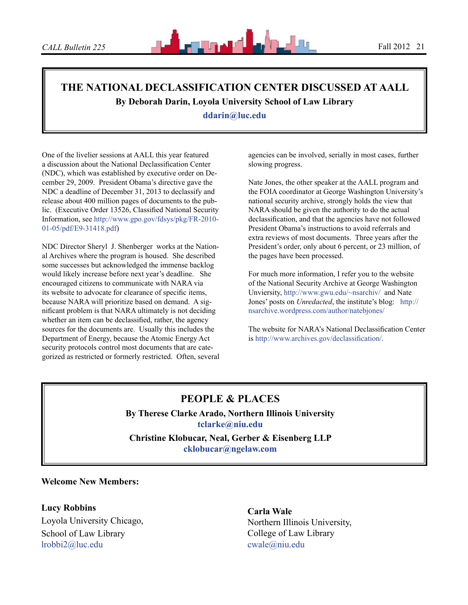# **The National Declassification Center Discussed at AALL By Deborah Darin, Loyola University School of Law Library**

**ddarin@luc.edu**

One of the livelier sessions at AALL this year featured a discussion about the National Declassification Center (NDC), which was established by executive order on December 29, 2009. President Obama's directive gave the NDC a deadline of December 31, 2013 to declassify and release about 400 million pages of documents to the public. (Executive Order 13526, Classified National Security Information, see [http://www.gpo.gov/fdsys/pkg/FR-2010-](http://www.gpo.gov/fdsys/pkg/FR-2010-01-05/pdf/E9-31418.pdf) [01-05/pdf/E9-31418.pdf](http://www.gpo.gov/fdsys/pkg/FR-2010-01-05/pdf/E9-31418.pdf))

NDC Director Sheryl J. Shenberger works at the National Archives where the program is housed. She described some successes but acknowledged the immense backlog would likely increase before next year's deadline. She encouraged citizens to communicate with NARA via its website to advocate for clearance of specific items, because NARA will prioritize based on demand. A significant problem is that NARA ultimately is not deciding whether an item can be declassified, rather, the agency sources for the documents are. Usually this includes the Department of Energy, because the Atomic Energy Act security protocols control most documents that are categorized as restricted or formerly restricted. Often, several agencies can be involved, serially in most cases, further slowing progress.

Nate Jones, the other speaker at the AALL program and the FOIA coordinator at George Washington University's national security archive, strongly holds the view that NARA should be given the authority to do the actual declassification, and that the agencies have not followed President Obama's instructions to avoid referrals and extra reviews of most documents. Three years after the President's order, only about 6 percent, or 23 million, of the pages have been processed.

For much more information, I refer you to the website of the National Security Archive at George Washington Unviersity, <http://www.gwu.edu/~nsarchiv/>and Nate Jones' posts on *Unredacted*, the institute's blog: [http://](http://nsarchive.wordpress.com/author/natebjones/) [nsarchive.wordpress.com/author/natebjones/](http://nsarchive.wordpress.com/author/natebjones/)

The website for NARA's National Declassification Center is <http://www.archives.gov/declassification/>.

# **PEOPLE & PLACES**

**By Therese Clarke Arado, Northern Illinois University tclarke@niu.edu**

**Christine Klobucar, Neal, Gerber & Eisenberg LLP cklobucar@ngelaw.com**

**Welcome New Members:**

**Lucy Robbins** Loyola University Chicago, School of Law Library [lrobbi2@luc.edu](mailto:lrobbi2@luc.edu)

**Carla Wale** Northern Illinois University, College of Law Library [cwale@niu.edu](mailto:cwale@niu.edu)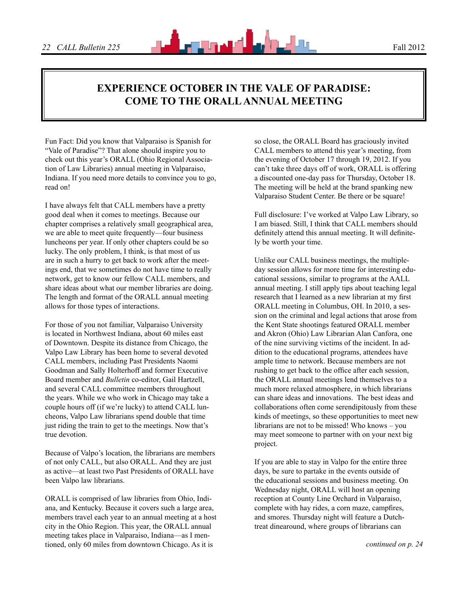# **Experience October in the Vale of Paradise: Come to the ORALL Annual Meeting**

Fun Fact: Did you know that Valparaiso is Spanish for "Vale of Paradise"? That alone should inspire you to check out this year's ORALL (Ohio Regional Association of Law Libraries) annual meeting in Valparaiso, Indiana. If you need more details to convince you to go, read on!

I have always felt that CALL members have a pretty good deal when it comes to meetings. Because our chapter comprises a relatively small geographical area, we are able to meet quite frequently—four business luncheons per year. If only other chapters could be so lucky. The only problem, I think, is that most of us are in such a hurry to get back to work after the meetings end, that we sometimes do not have time to really network, get to know our fellow CALL members, and share ideas about what our member libraries are doing. The length and format of the ORALL annual meeting allows for those types of interactions.

For those of you not familiar, Valparaiso University is located in Northwest Indiana, about 60 miles east of Downtown. Despite its distance from Chicago, the Valpo Law Library has been home to several devoted CALL members, including Past Presidents Naomi Goodman and Sally Holterhoff and former Executive Board member and *Bulletin* co-editor, Gail Hartzell, and several CALL committee members throughout the years. While we who work in Chicago may take a couple hours off (if we're lucky) to attend CALL luncheons, Valpo Law librarians spend double that time just riding the train to get to the meetings. Now that's true devotion.

Because of Valpo's location, the librarians are members of not only CALL, but also ORALL. And they are just as active—at least two Past Presidents of ORALL have been Valpo law librarians.

ORALL is comprised of law libraries from Ohio, Indiana, and Kentucky. Because it covers such a large area, members travel each year to an annual meeting at a host city in the Ohio Region. This year, the ORALL annual meeting takes place in Valparaiso, Indiana—as I mentioned, only 60 miles from downtown Chicago. As it is

so close, the ORALL Board has graciously invited CALL members to attend this year's meeting, from the evening of October 17 through 19, 2012. If you can't take three days off of work, ORALL is offering a discounted one-day pass for Thursday, October 18. The meeting will be held at the brand spanking new Valparaiso Student Center. Be there or be square!

Full disclosure: I've worked at Valpo Law Library, so I am biased. Still, I think that CALL members should definitely attend this annual meeting. It will definitely be worth your time.

Unlike our CALL business meetings, the multipleday session allows for more time for interesting educational sessions, similar to programs at the AALL annual meeting. I still apply tips about teaching legal research that I learned as a new librarian at my first ORALL meeting in Columbus, OH. In 2010, a session on the criminal and legal actions that arose from the Kent State shootings featured ORALL member and Akron (Ohio) Law Librarian Alan Canfora, one of the nine surviving victims of the incident. In addition to the educational programs, attendees have ample time to network. Because members are not rushing to get back to the office after each session, the ORALL annual meetings lend themselves to a much more relaxed atmosphere, in which librarians can share ideas and innovations. The best ideas and collaborations often come serendipitously from these kinds of meetings, so these opportunities to meet new librarians are not to be missed! Who knows – you may meet someone to partner with on your next big project.

If you are able to stay in Valpo for the entire three days, be sure to partake in the events outside of the educational sessions and business meeting. On Wednesday night, ORALL will host an opening reception at County Line Orchard in Valparaiso, complete with hay rides, a corn maze, campfires, and smores. Thursday night will feature a Dutchtreat dinearound, where groups of librarians can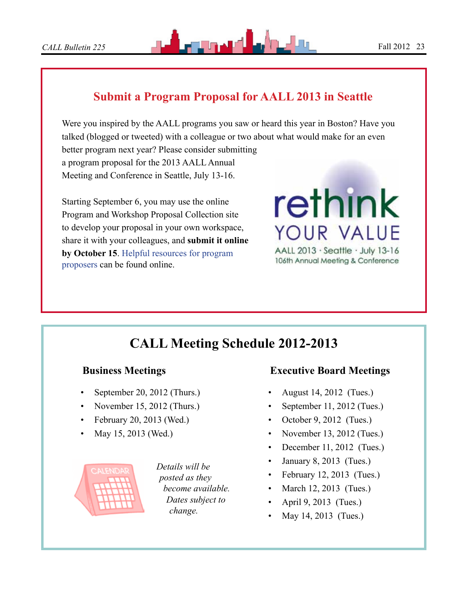# **Submit a Program Proposal for AALL 2013 in Seattle**

Were you inspired by the AALL programs you saw or heard this year in Boston? Have you talked (blogged or tweeted) with a colleague or two about what would make for an even better program next year? Please consider submitting a program proposal for the 2013 AALL Annual Meeting and Conference in Seattle, July 13-16.

Starting September 6, you may use the online Program and Workshop Proposal Collection site to develop your proposal in your own workspace, share it with your colleagues, and **submit it online by October 15**. [Helpful resources for program](http://www.aallnet.org/conference/education/future-meetings/program-proposers)  [proposers](http://www.aallnet.org/conference/education/future-meetings/program-proposers) can be found online.

# rethink YOUR VALUE AALL 2013 · Seattle · July 13-16

106th Annual Meeting & Conference

# **CALL Meeting Schedule 2012-2013**

## **Business Meetings**

- September 20, 2012 (Thurs.)
- November 15, 2012 (Thurs.)
- February 20, 2013 (Wed.)
- May 15, 2013 (Wed.)



*Details will be posted as they become available. Dates subject to change.*

# **Executive Board Meetings**

- August 14, 2012 (Tues.)
- September 11, 2012 (Tues.)
- October  $9, 2012$  (Tues.)
- November 13, 2012 (Tues.)
- December 11, 2012 (Tues.)
- January 8, 2013 (Tues.)
- February 12, 2013 (Tues.)
- March 12, 2013 (Tues.)
- April 9, 2013 (Tues.)
- May 14, 2013 (Tues.)